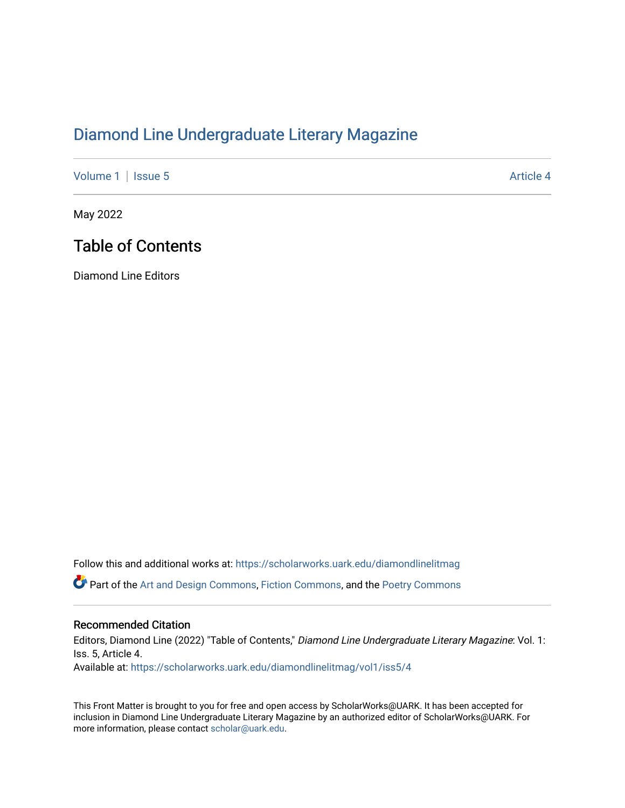## [Diamond Line Undergraduate Literary Magazine](https://scholarworks.uark.edu/diamondlinelitmag)

[Volume 1](https://scholarworks.uark.edu/diamondlinelitmag/vol1) | [Issue 5](https://scholarworks.uark.edu/diamondlinelitmag/vol1/iss5) Article 4

May 2022

## Table of Contents

Diamond Line Editors

Follow this and additional works at: [https://scholarworks.uark.edu/diamondlinelitmag](https://scholarworks.uark.edu/diamondlinelitmag?utm_source=scholarworks.uark.edu%2Fdiamondlinelitmag%2Fvol1%2Fiss5%2F4&utm_medium=PDF&utm_campaign=PDFCoverPages)  **C** Part of the [Art and Design Commons](http://network.bepress.com/hgg/discipline/1049?utm_source=scholarworks.uark.edu%2Fdiamondlinelitmag%2Fvol1%2Fiss5%2F4&utm_medium=PDF&utm_campaign=PDFCoverPages), [Fiction Commons](http://network.bepress.com/hgg/discipline/1151?utm_source=scholarworks.uark.edu%2Fdiamondlinelitmag%2Fvol1%2Fiss5%2F4&utm_medium=PDF&utm_campaign=PDFCoverPages), and the Poetry Commons

## Recommended Citation

Editors, Diamond Line (2022) "Table of Contents," Diamond Line Undergraduate Literary Magazine: Vol. 1: Iss. 5, Article 4. Available at: [https://scholarworks.uark.edu/diamondlinelitmag/vol1/iss5/4](https://scholarworks.uark.edu/diamondlinelitmag/vol1/iss5/4?utm_source=scholarworks.uark.edu%2Fdiamondlinelitmag%2Fvol1%2Fiss5%2F4&utm_medium=PDF&utm_campaign=PDFCoverPages)

This Front Matter is brought to you for free and open access by ScholarWorks@UARK. It has been accepted for inclusion in Diamond Line Undergraduate Literary Magazine by an authorized editor of ScholarWorks@UARK. For more information, please contact [scholar@uark.edu.](mailto:scholar@uark.edu)